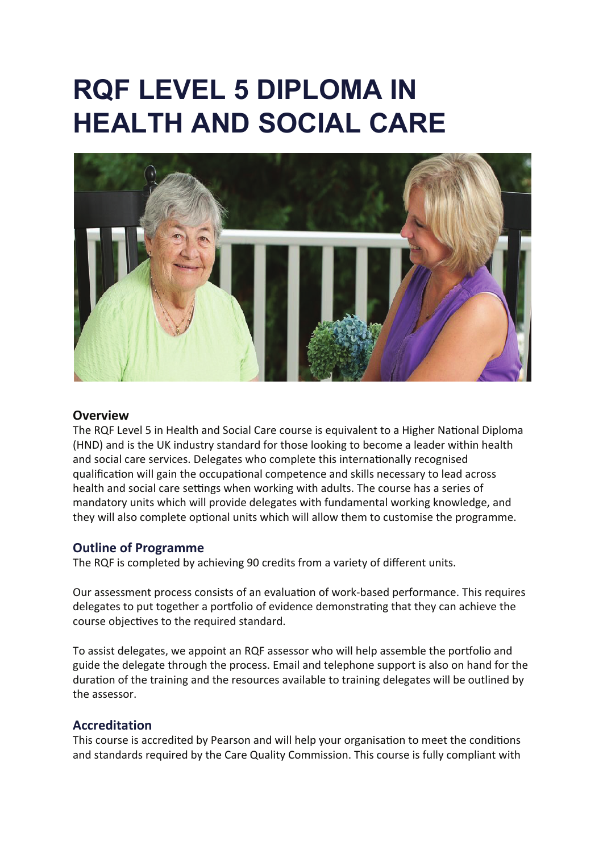# **RQF LEVEL 5 DIPLOMA IN HEALTH AND SOCIAL CARE**



### **Overview**

The RQF Level 5 in Health and Social Care course is equivalent to a Higher National Diploma (HND) and is the UK industry standard for those looking to become a leader within health and social care services. Delegates who complete this internationally recognised qualification will gain the occupational competence and skills necessary to lead across health and social care settings when working with adults. The course has a series of mandatory units which will provide delegates with fundamental working knowledge, and they will also complete optional units which will allow them to customise the programme.

# **Outline of Programme**

The RQF is completed by achieving 90 credits from a variety of different units.

Our assessment process consists of an evaluation of work-based performance. This requires delegates to put together a portfolio of evidence demonstrating that they can achieve the course objectives to the required standard.

To assist delegates, we appoint an RQF assessor who will help assemble the por�olio and guide the delegate through the process. Email and telephone support is also on hand for the duration of the training and the resources available to training delegates will be outlined by the assessor.

# **Accreditation**

This course is accredited by Pearson and will help your organisation to meet the conditions and standards required by the Care Quality Commission. This course is fully compliant with